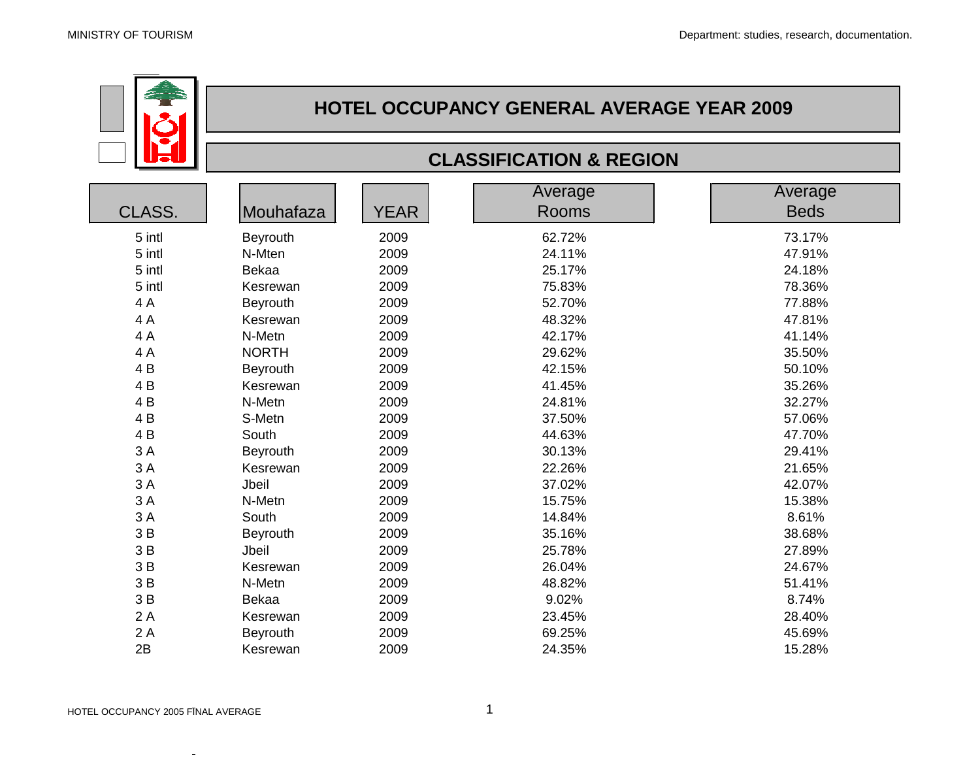